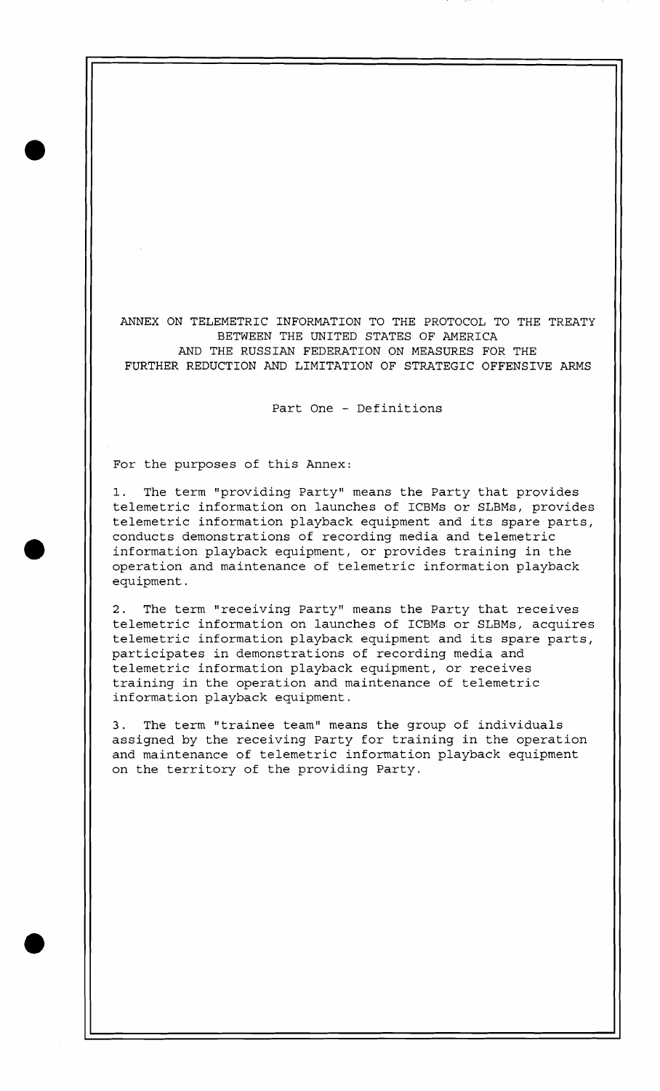ANNEX ON TELEMETRIC INFORMATION TO THE PROTOCOL TO THE TREATY BETWEEN THE UNITED STATES OF AMERICA AND THE RUSSIAN FEDERATION ON MEASURES FOR THE FURTHER REDUCTION AND LIMITATION OF STRATEGIC OFFENSIVE ARMS

Part One - Definitions

For the purposes of this Annex:

1. The term "providing Party" means the Party that provides telemetric information on launches of ICBMs or SLBMs, provides telemetric information playback equipment and its spare parts, conducts demonstrations of recording media and telemetric information playback equipment, or provides training in the operation and maintenance of telemetric information playback equipment.

2. The term "receiving Party" means the Party that receives telemetric information on launches of ICBMs or SLBMs, acquires telemetric information playback equipment and its spare parts, participates in demonstrations of recording media and telemetric information playback equipment, or receives training in the operation and maintenance of telemetric information playback equipment.

3. The term "trainee team" means the group of individuals assigned by the receiving Party for training in the operation and maintenance of telemetric information playback equipment on the territory of the providing Party.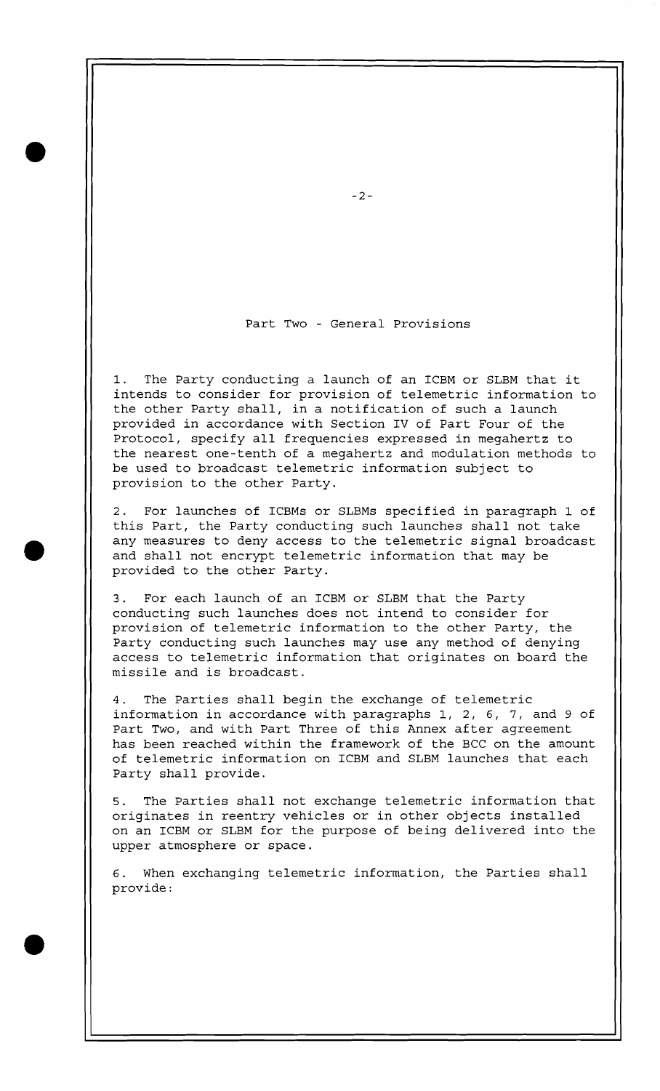## Part Two - General Provisions

1. The Party conducting a launch of an ICBM or SLBM that it intends to consider for provision of telemetric information to the other Party shall, in a notification of such a launch provided in accordance with Section IV of Part Four of the Protocol, specify all frequencies expressed in megahertz to the nearest one-tenth of a megahertz and modulation methods to be used to broadcast telemetric information subject to provision to the other Party.

2. For launches of ICBMs or SLBMs specified in paragraph 1 of this Part, the Party conducting such launches shall not take any measures to deny access to the telemetric signal broadcast and shall not encrypt telemetric information that may be provided to the other Party.

3. For each launch of an ICBM or SLBM that the Party conducting such launches does not intend to consider for provision of telemetric information to the other Party, the Party conducting such launches may use any method of denying access to telemetric information that originates on board the missile and is broadcast.

4. The Parties shall begin the exchange of telemetric information in accordance with paragraphs 1, 2, 6, 7, and 9 of Part Two, and with Part Three of this Annex after agreement has been reached within the framework of the BCC on the amount of telemetric information on ICBM and SLBM launches that each Party shall provide.

5, The Parties shall not exchange telemetric information that originates in reentry vehicles or in other objects installed on an ICBM or SLBM for the purpose of being delivered into the upper atmosphere or space.

6. When exchanging telemetric information, the Parties shall provide :

 $-2-$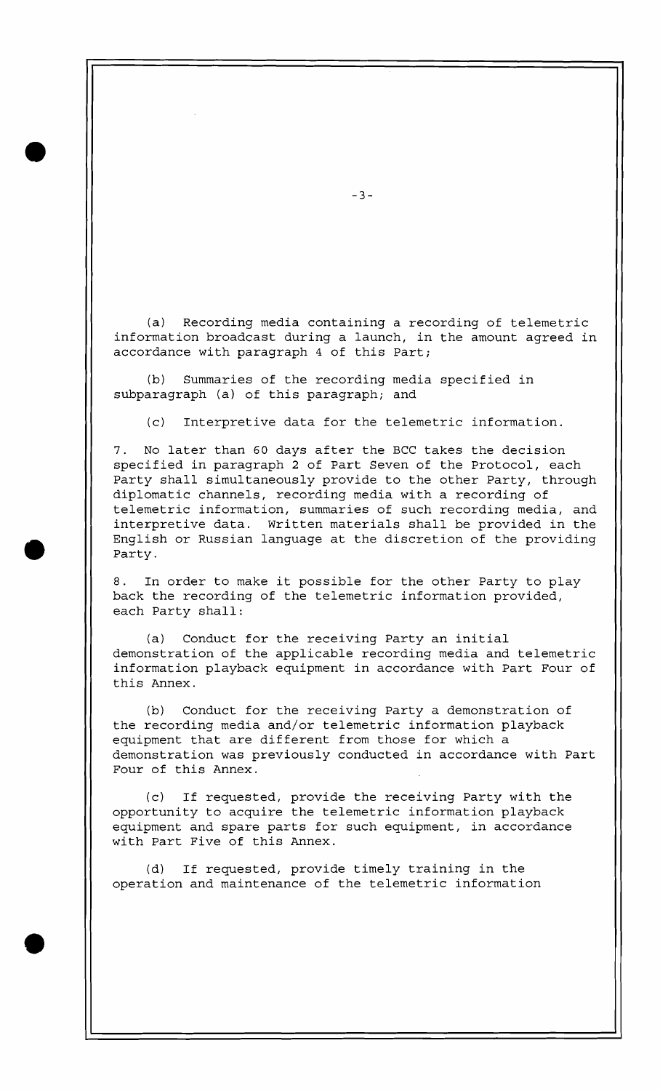(a) Recording media containing a recording of telemetric information broadcast during a launch, in the amount agreed in accordance with paragraph 4 of this Part;

(b) Summaries of the recording media specified in subparagraph (a) of this paragraph; and

(c) Interpretive data for the telemetric information.

7. No later than 60 days after the BCC takes the decision specified in paragraph 2 of Part Seven of the Protocol, each Party shall simultaneously provide to the other Party, through diplomatic channels, recording media with a recording of telemetric information, summaries of such recording media, and interpretive data. Written materials shall be provided in the English or Russian language at the discretion of the providing Party.

8. In order to make it possible for the other Party to play back the recording of the telemetric information provided, each Party shall:

(a) Conduct for the receiving Party an initial demonstration of the applicable recording media and telemetric information playback equipment in accordance with Part Four of this Annex.

(b) Conduct for the receiving Party a demonstration of the recording media and/or telemetric information playback equipment that are different from those for which a demonstration was previously conducted in accordance with Part Four of this Annex.

(c) If requested, provide the receiving Party with the opportunity to acquire the telemetric information playback equipment and spare parts for such equipment, in accordance with Part Five of this Annex.

(d) If requested, provide timely training in the operation and maintenance of the telemetric information

 $-3-$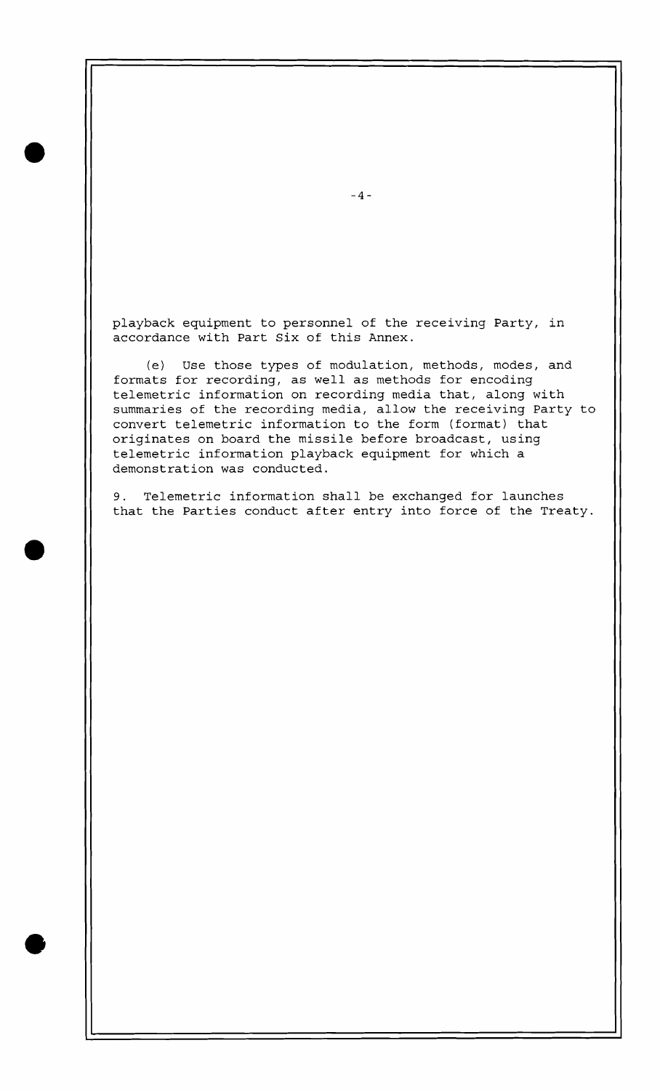playback equipment to personnel of the receiving Party, in accordance with Part Six of this Annex.

(e) Use those types of modulation, methods, modes, and formats for recording, as well as methods for encoding telemetric information on recording media that, along with summaries of the recording media, allow the receiving Party to convert telemetric information to the form (format) that originates on board the missile before broadcast, using telemetric information playback equipment for which a demonstration was conducted.

9. Telemetric information shall be exchanged for launches that the Parties conduct after entry into force of the Treaty.

 $-4-$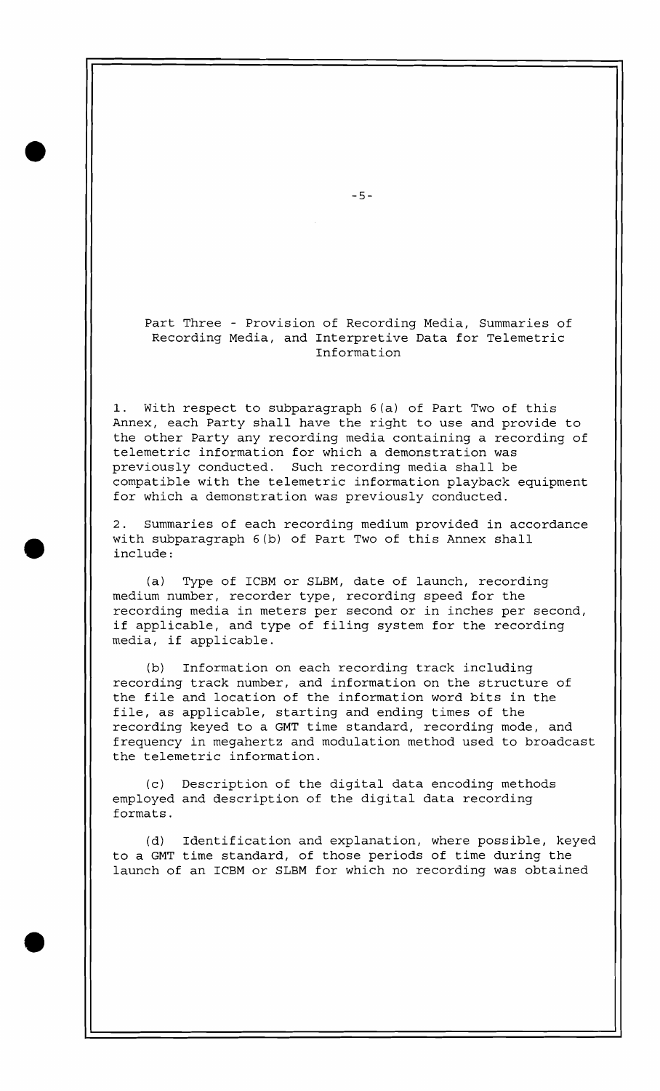Part Three - Provision of Recording Media, Summaries of Recording Media, and Interpretive Data for Telemetric Information

1. With respect to subparagraph 6(a) of Part Two of this Annex, each Party shall have the right to use and provide to the other Party any recording media containing a recording of telemetric information for which a demonstration was previously conducted. Such recording media shall be compatible with the telemetric information playback equipment for which a demonstration was previously conducted.

2. Summaries of each recording medium provided in accordance with subparagraph 6(b) of Part Two of this Annex shall include :

(a) Type of ICBM or SLBM, date of launch, recording medium number, recorder type, recording speed for the recording media in meters per second or in inches per second, if applicable, and type of filing system for the recording media, if applicable.

(b) Information on each recording track including recording track number, and information on the structure of the file and location of the information word bits in the file, as applicable, starting and ending times of the recording keyed to a GMT time standard, recording mode, and frequency in megahertz and modulation method used to broadcast the telemetric information.

(c) Description of the digital data encoding methods employed and description of the digital data recording formats.

(d) Identification and explanation, where possible, keyed to a GMT time standard, of those periods of time during the launch of an ICBM or SLBM for which no recording was obtained

 $-5-$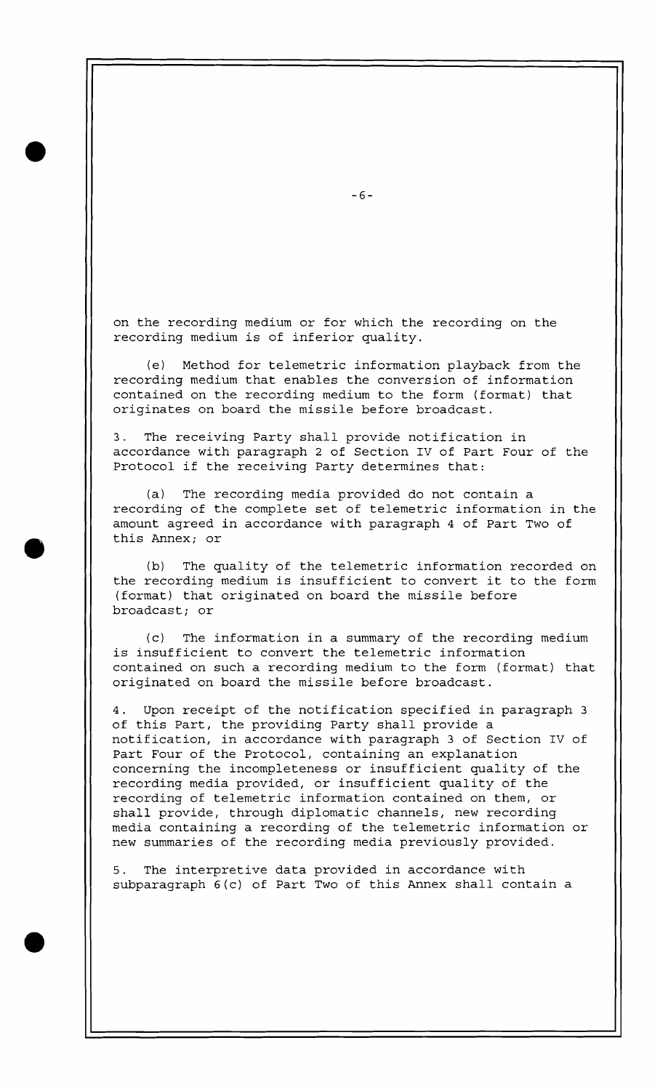on the recording medium or for which the recording on the recording medium is of inferior quality.

(e) Method for telemetric information playback from the recording medium that enables the conversion of information contained on the recording medium to the form (format) that originates on board the missile before broadcast.

The receiving Party shall provide notification in accordance with paragraph 2 of Section IV of Part Four of the Protocol if the receiving Party determines that:

(a) The recording media provided do not contain a recording of the complete set of telemetric information in the amount agreed in accordance with paragraph 4 of Part Two of this Annex; or

(b) The quality of the telemetric information recorded on the recording medium is insufficient to convert it to the form (format) that originated on board the missile before broadcast; or

(c) The information in a summary of the recording medium is insufficient to convert the telemetric information contained on such a recording medium to the form (format) that originated on board the missile before broadcast.

4. Upon receipt of the notification specified in paragraph 3 of this Part, the providing Party shall provide a notification, in accordance with paragraph 3 of Section IV of Part Four of the Protocol, containing an explanation concerning the incompleteness or insufficient quality of the recording media provided, or insufficient quality of the recording of telemetric information contained on them, or shall provide, through diplomatic channels, new recording media containing a recording of the telemetric information or new summaries of the recording media previously provided.

5. The interpretive data provided in accordance with subparagraph 6(c) of Part Two of this Annex shall contain a

 $-6-$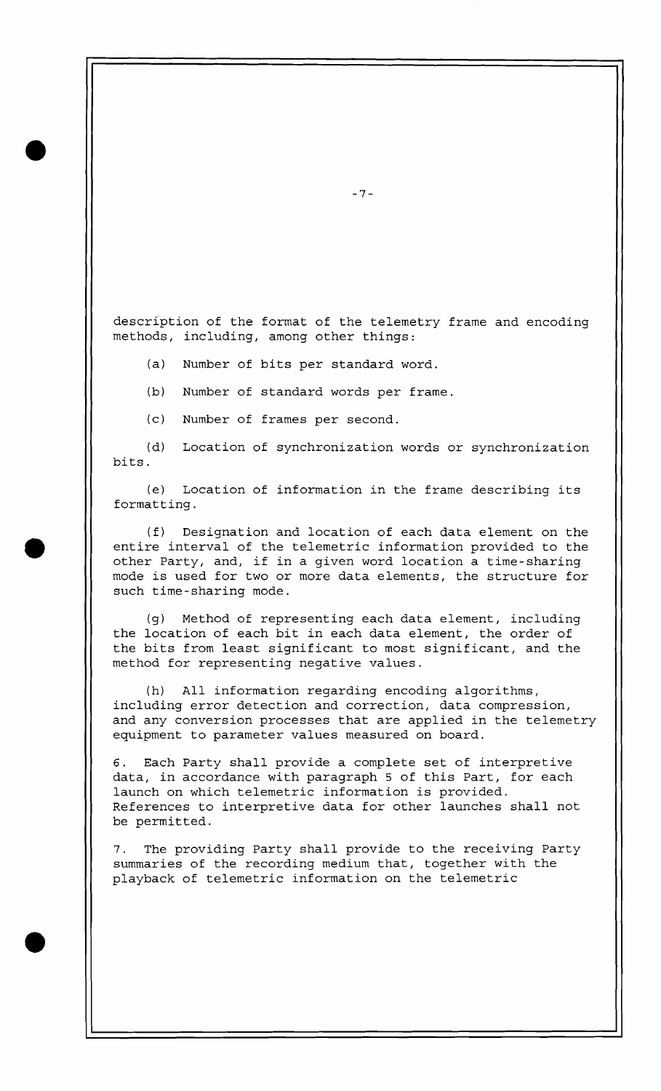description of the format of the telemetry frame and encoding methods, including, among other things:

- (a) Number of bits per standard word.
- (b) Number of standard words per frame.
- (c) Number of frames per second.

(d) Location of synchronization words or synchronization bits.

(e) Location of information in the frame describing its formatting.

(f) Designation and location of each data element on the entire interval of the telemetric information provided to the other Party, and, if in a given word location a time-sharing mode is used for two or more data elements, the structure for such time-sharing mode.

(g) Method of representing each data element, including the location of each bit in each data element, the order of the bits from least significant to most significant, and the method for representing negative values.

(h) All information regarding encoding algorithms, including error detection and correction, data compression, and any conversion processes that are applied in the telemetry equipment to parameter values measured on board.

**6.** Each Party shall provide a complete set of interpretive data, in accordance with paragraph 5 of this Part, for each launch on which telemetric information is provided. References to interpretive data for other launches shall not be permitted.

7. The providing Party shall provide to the receiving Party summaries of the recording medium that, together with the playback of telemetric information on the telemetric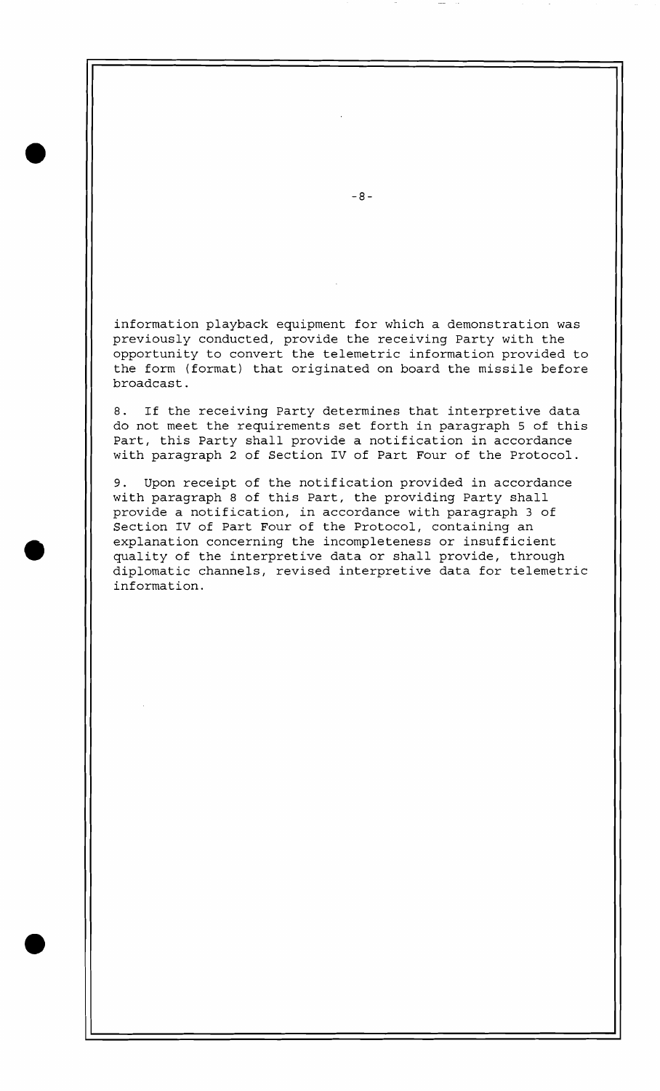information playback equipment for which a demonstration was previously conducted, provide the receiving Party with the opportunity to convert the telemetric information provided to the form (format) that originated on board the missile before broadcast.

8. If the receiving Party determines that interpretive data do not meet the requirements set forth in paragraph 5 of this Part, this Party shall provide a notification in accordance with paragraph 2 of Section IV of Part Four of the Protocol.

9. Upon receipt of the notification provided in accordance with paragraph 8 of this Part, the providing Party shall provide a notification, in accordance with paragraph 3 of Section IV of Part Four of the Protocol, containing an explanation concerning the incompleteness or insufficient quality of the interpretive data or shall provide, through diplomatic channels, revised interpretive data for telemetric information.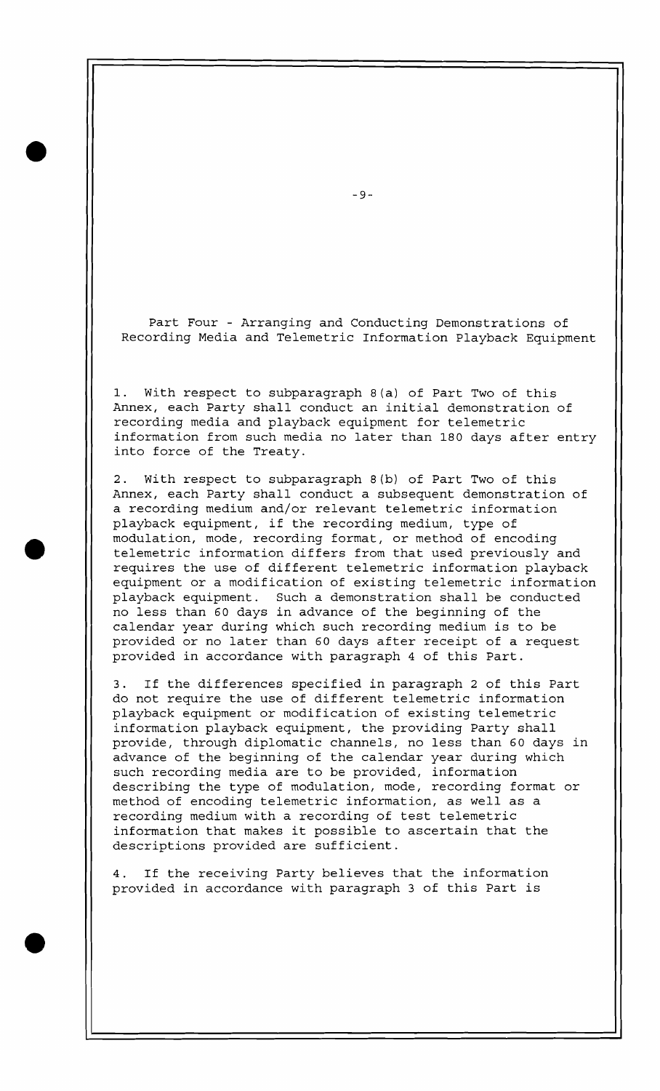Part Four - Arranging and Conducting Demonstrations of Recording Media and Telemetric Information Playback Equipment

1. With respect to subparagraph 8(a) of Part Two of this Annex, each Party shall conduct an initial demonstration of recording media and playback equipment for telemetric information from such media no later than 180 days after entry into force of the Treaty.

2. With respect to subparagraph 8(b) of Part Two of this Annex, each Party shall conduct a subsequent demonstration of a recording medium and/or relevant telemetric information playback equipment, if the recording medium, type of modulation, mode, recording format, or method of encoding telemetric information differs from that used previously and requires the use of different telemetric information playback equipment or a modification of existing telemetric information playback equipment. Such a demonstration shall be conducted no less than 60 days in advance of the beginning of the calendar year during which such recording medium is to be provided or no later than 60 days after receipt of a request provided in accordance with paragraph 4 of this Part.

3. If the differences specified in paragraph 2 of this Part do not require the use of different telemetric information playback equipment or modification of existing telemetric information playback equipment, the providing Party shall provide, through diplomatic channels, no less than 60 days in advance of the beginning of the calendar year during which such recording media are to be provided, information describing the type of modulation, mode, recording format or method of encoding telemetric information, as well as a recording medium with a recording of test telemetric information that makes it possible to ascertain that the descriptions provided are sufficient.

4. If the receiving Party believes that the information provided in accordance with paragraph 3 of this Part is

 $-9-$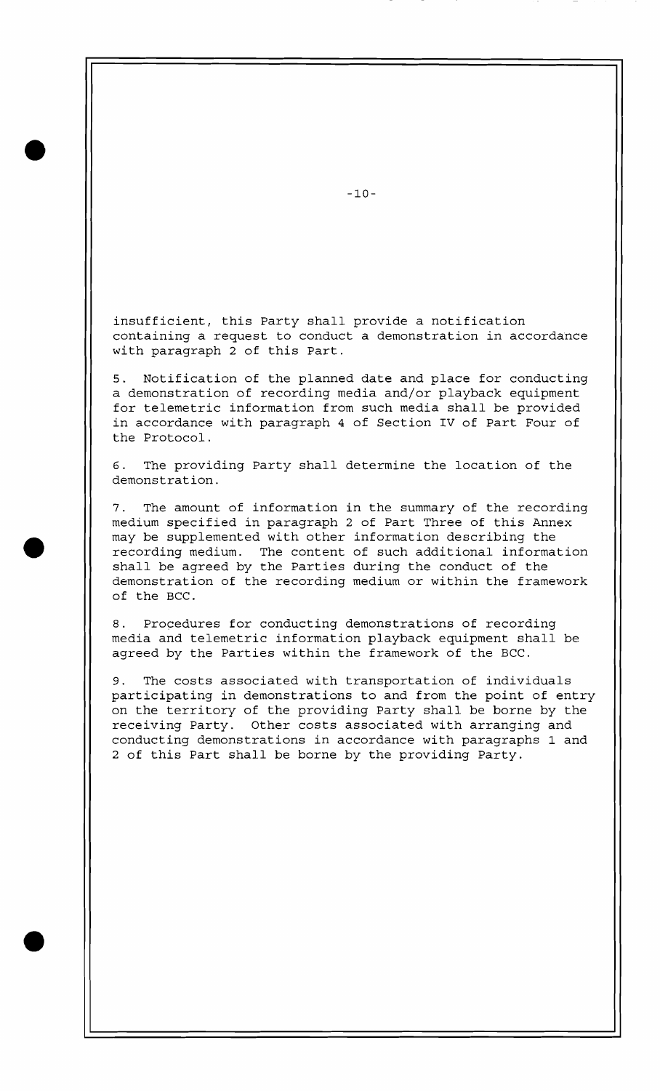insufficient, this Party shall provide a notification containing a request to conduct a demonstration in accordance with paragraph 2 of this Part.

5. Notification of the planned date and place for conducting a demonstration of recording media and/or playback equipment for telemetric information from such media shall be provided in accordance with paragraph 4 of Section IV of Part Four of the Protocol.

**6.** The providing Party shall determine the location of the demonstration.

7. The amount of information in the summary of the recording medium specified in paragraph 2 of Part Three of this Annex may be supplemented with other information describing the recording medium. The content of such additional information shall be agreed by the Parties during the conduct of the demonstration of the recording medium or within the framework of the BCC.

8. Procedures for conducting demonstrations of recording media and telemetric information playback equipment shall be agreed by the Parties within the framework of the BCC.

9. The costs associated with transportation of individuals participating in demonstrations to and from the point of entry on the territory of the providing Party shall be borne by the receiving Party. Other costs associated with arranging and conducting demonstrations in accordance with paragraphs 1 and 2 of this Part shall be borne by the providing Party.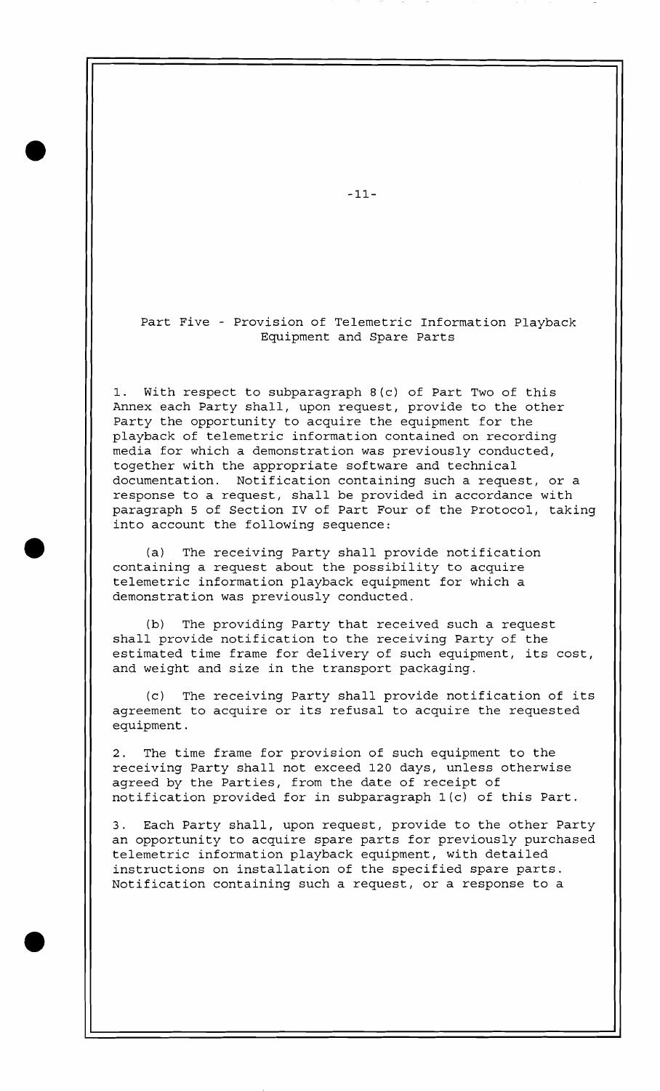Part Five - Provision of Telemetric Information Playback Equipment and Spare Parts

1. With respect to subparagraph 8(c) of Part Two of this Annex each Party shall, upon request, provide to the other Party the opportunity to acquire the equipment for the playback of telemetric information contained on recording media for which a demonstration was previously conducted, together with the appropriate software and technical documentation. Notification containing such a request, or a response to a request, shall be provided in accordance with paragraph 5 of Section IV of Part Four of the Protocol, taking into account the following sequence:

(a) The receiving Party shall provide notification containing a request about the possibility to acquire telemetric information playback equipment for which a demonstration was previously conducted.

(b) The providing Party that received such a request shall provide notification to the receiving Party of the estimated time frame for delivery of such equipment, its cost, and weight and size in the transport packaging.

(c) The receiving Party shall provide notification of its agreement to acquire or its refusal to acquire the requested equipment.

2. The time frame for provision of such equipment to the receiving Party shall not exceed 120 days, unless otherwise agreed by the Parties, from the date of receipt of notification provided for in subparagraph l(c) of this Part.

3. Each Party shall, upon request, provide to the other Party an opportunity to acquire spare parts for previously purchased telemetric information playback equipment, with detailed instructions on installation of the specified spare parts. Notification containing such a request, or a response to a

 $-11-$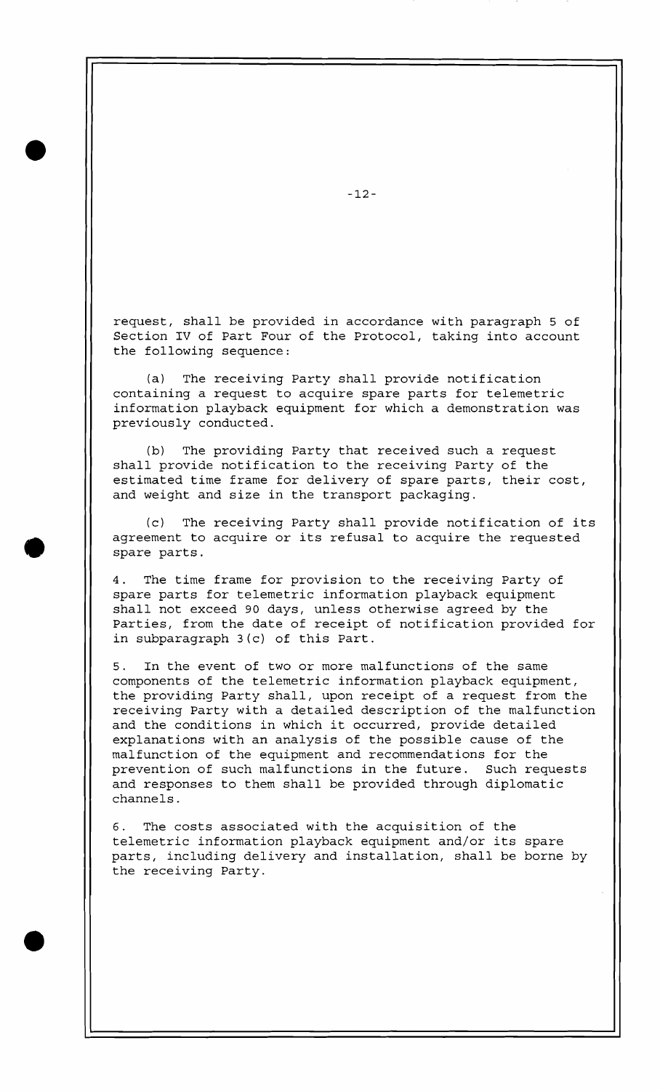request, shall be provided in accordance with paragraph 5 of Section IV of Part Four of the Protocol, taking into account the following sequence:

(a) The receiving Party shall provide notification containing a request to acquire spare parts for telemetric information playback equipment for which a demonstration was previously conducted.

(b) The providing Party that received such a request shall provide notification to the receiving Party of the estimated time frame for delivery of spare parts, their cost, and weight and size in the transport packaging.

(c) The receiving Party shall provide notification of its agreement to acquire or its refusal to acquire the requested spare parts.

4. The time frame for provision to the receiving Party of spare parts for telemetric information playback equipment shall not exceed 90 days, unless otherwise agreed by the Parties, from the date of receipt of notification provided for in subparagraph 3 (c) of this Part.

5. In the event of two or more malfunctions of the same components of the telemetric information playback equipment, the providing Party shall, upon receipt of a request from the receiving Party with a detailed description of the malfunction and the conditions in which it occurred, provide detailed explanations with an analysis of the possible cause of the malfunction of the equipment and recommendations for the prevention of such malfunctions in the future. Such requests and responses to them shall be provided through diplomatic channels.

6. The costs associated with the acquisition of the telemetric information playback equipment and/or its spare parts, including delivery and installation, shall be borne by the receiving Party.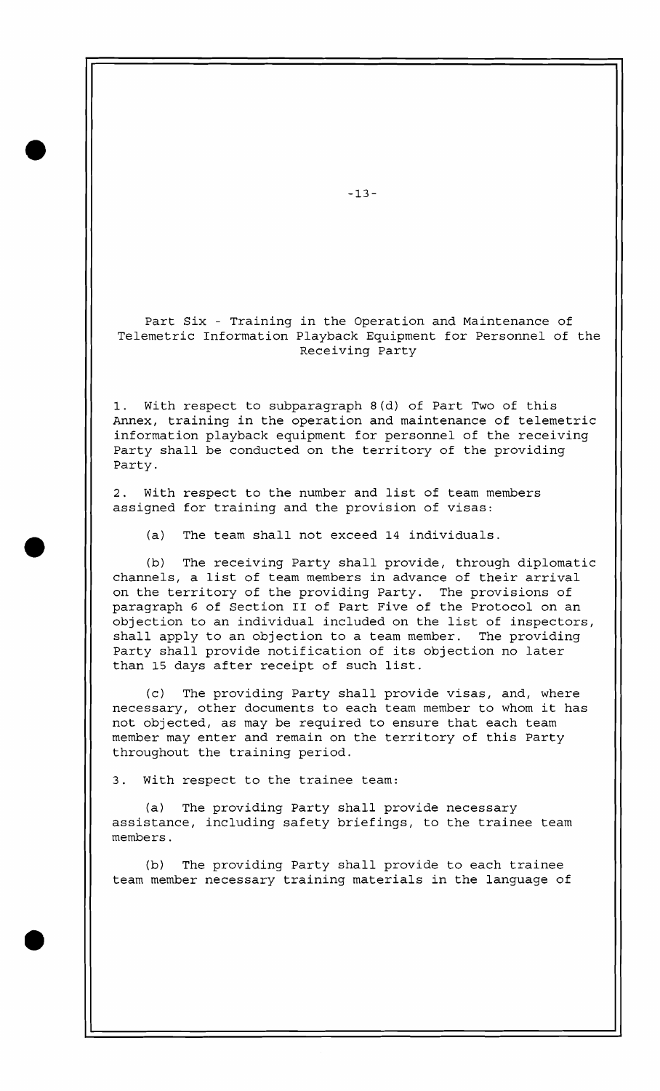Part Six - Training in the Operation and Maintenance of Telemetric Information Playback Equipment for Personnel of the Receiving Party

1. With respect to subparagraph 8 (d) of Part Two of this Annex, training in the operation and maintenance of telemetric information playback equipment for personnel of the receiving Party shall be conducted on the territory of the providing Party.

2. With respect to the number and list of team members assigned for training and the provision of visas:

(a) The team shall not exceed 14 individuals.

(b) The receiving Party shall provide, through diplomatic channels, a list of team members in advance of their arrival on the territory of the providing Party. The provisions of paragraph **6** of Section I1 of Part Five of the Protocol on an objection to an individual included on the list of inspectors, shall apply to an objection to a team member. The providing Party shall provide notification of its objection no later than 15 days after receipt of such list.

(c) The providing Party shall provide visas, and, where necessary, other documents to each team member to whom it has not objected, as may be required to ensure that each team member may enter and remain on the territory of this Party throughout the training period.

3. With respect to the trainee team:

(a) The providing Party shall provide necessary assistance, including safety briefings, to the trainee team members.

(b) The providing Party shall provide to each trainee team member necessary training materials in the language of

 $-13-$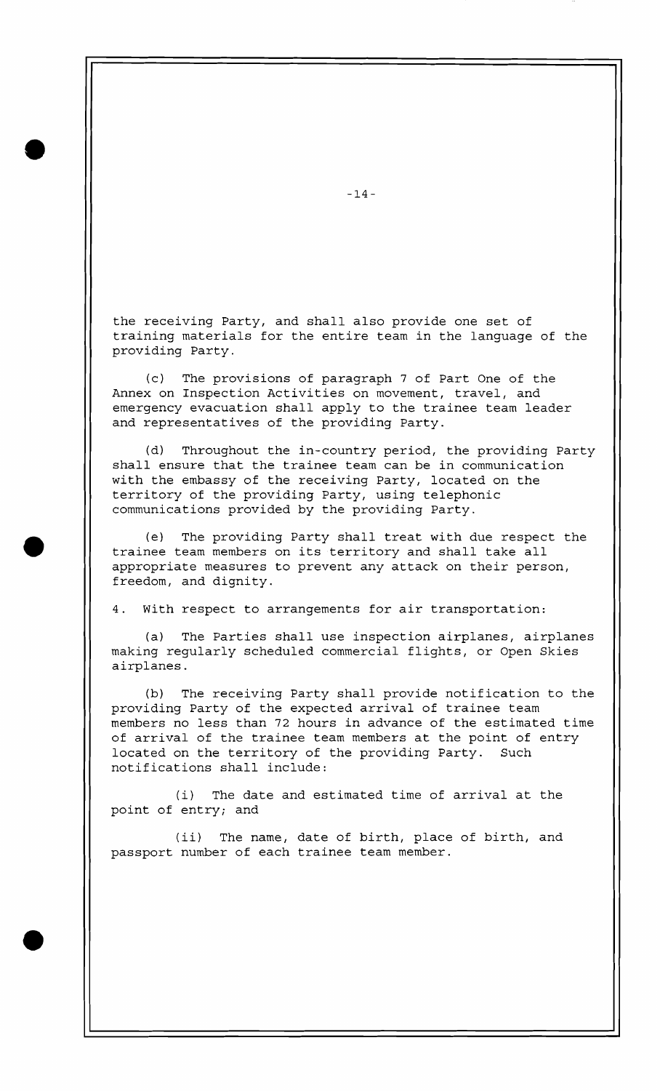the receiving Party, and shall also provide one set of training materials for the entire team in the language of the providing Party.

(c) The provisions of paragraph 7 of Part One of the Annex on Inspection Activities on movement, travel, and emergency evacuation shall apply to the trainee team leader and representatives of the providing Party.

(d) Throughout the in-country period, the providing Party shall ensure that the trainee team can be in communication with the embassy of the receiving Party, located on the territory of the providing Party, using telephonic communications provided by the providing Party.

(e) The providing Party shall treat with due respect the trainee team members on its territory and shall take all appropriate measures to prevent any attack on their person, freedom, and dignity.

4. With respect to arrangements for air transportation:

(a) The Parties shall use inspection airplanes, airplanes making regularly scheduled commercial flights, or Open Skies airplanes.

(b) The receiving Party shall provide notification to the providing Party of the expected arrival of trainee team members no less than 72 hours in advance of the estimated time of arrival of the trainee team members at the point of entry located on the territory of the providing Party. Such notifications shall include:

(i) The date and estimated time of arrival at the point of entry; and

(ii) The name, date of birth, place of birth, and passport number of each trainee team member.

 $-14-$